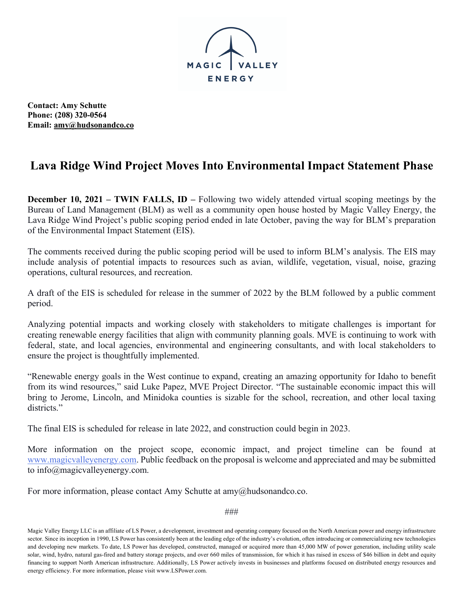

**Contact: Amy Schutte Phone: (208) 320-0564 Email: amy@hudsonandco.co**

#### **Lava Ridge Wind Project Moves Into Environmental Impact Statement Phase**

**December 10, 2021 – <b>TWIN FALLS, ID** – Following two widely attended virtual scoping meetings by the Bureau of Land Management (BLM) as well as a community open house hosted by Magic Valley Energy, the Lava Ridge Wind Project's public scoping period ended in late October, paving the way for BLM's preparation of the Environmental Impact Statement (EIS).

The comments received during the public scoping period will be used to inform BLM's analysis. The EIS may include analysis of potential impacts to resources such as avian, wildlife, vegetation, visual, noise, grazing operations, cultural resources, and recreation.

A draft of the EIS is scheduled for release in the summer of 2022 by the BLM followed by a public comment period.

Analyzing potential impacts and working closely with stakeholders to mitigate challenges is important for creating renewable energy facilities that align with community planning goals. MVE is continuing to work with federal, state, and local agencies, environmental and engineering consultants, and with local stakeholders to ensure the project is thoughtfully implemented.

"Renewable energy goals in the West continue to expand, creating an amazing opportunity for Idaho to benefit from its wind resources," said Luke Papez, MVE Project Director. "The sustainable economic impact this will bring to Jerome, Lincoln, and Minidoka counties is sizable for the school, recreation, and other local taxing districts."

The final EIS is scheduled for release in late 2022, and construction could begin in 2023.

More information on the project scope, economic impact, and project timeline can be found at www.magicvalleyenergy.com. Public feedback on the proposal is welcome and appreciated and may be submitted to info@magicvalleyenergy.com.

For more information, please contact Amy Schutte at amy@hudsonandco.co.

###

Magic Valley Energy LLC is an affiliate of LS Power, a development, investment and operating company focused on the North American power and energy infrastructure sector. Since its inception in 1990, LS Power has consistently been at the leading edge of the industry's evolution, often introducing or commercializing new technologies and developing new markets. To date, LS Power has developed, constructed, managed or acquired more than 45,000 MW of power generation, including utility scale solar, wind, hydro, natural gas-fired and battery storage projects, and over 660 miles of transmission, for which it has raised in excess of \$46 billion in debt and equity financing to support North American infrastructure. Additionally, LS Power actively invests in businesses and platforms focused on distributed energy resources and energy efficiency. For more information, please visit www.LSPower.com.